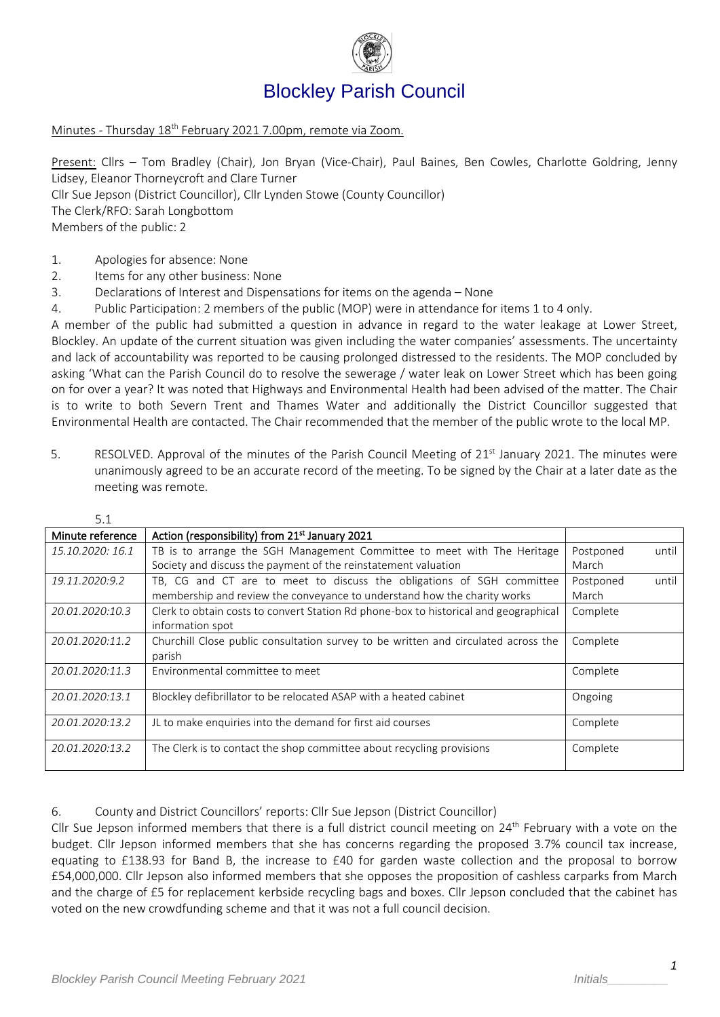

# Blockley Parish Council

Minutes - Thursday 18<sup>th</sup> February 2021 7.00pm, remote via Zoom.

Present: Cllrs – Tom Bradley (Chair), Jon Bryan (Vice-Chair), Paul Baines, Ben Cowles, Charlotte Goldring, Jenny Lidsey, Eleanor Thorneycroft and Clare Turner

Cllr Sue Jepson (District Councillor), Cllr Lynden Stowe (County Councillor)

The Clerk/RFO: Sarah Longbottom

Members of the public: 2

- 1. Apologies for absence: None
- 2. Items for any other business: None
- 3. Declarations of Interest and Dispensations for items on the agenda None
- 4. Public Participation: 2 members of the public (MOP) were in attendance for items 1 to 4 only.

A member of the public had submitted a question in advance in regard to the water leakage at Lower Street, Blockley. An update of the current situation was given including the water companies' assessments. The uncertainty and lack of accountability was reported to be causing prolonged distressed to the residents. The MOP concluded by asking 'What can the Parish Council do to resolve the sewerage / water leak on Lower Street which has been going on for over a year? It was noted that Highways and Environmental Health had been advised of the matter. The Chair is to write to both Severn Trent and Thames Water and additionally the District Councillor suggested that Environmental Health are contacted. The Chair recommended that the member of the public wrote to the local MP.

5. RESOLVED. Approval of the minutes of the Parish Council Meeting of 21<sup>st</sup> January 2021. The minutes were unanimously agreed to be an accurate record of the meeting. To be signed by the Chair at a later date as the meeting was remote.

| 5.1              |                                                                                      |           |       |
|------------------|--------------------------------------------------------------------------------------|-----------|-------|
| Minute reference | Action (responsibility) from 21 <sup>st</sup> January 2021                           |           |       |
| 15.10.2020: 16.1 | TB is to arrange the SGH Management Committee to meet with The Heritage              | Postponed | until |
|                  | Society and discuss the payment of the reinstatement valuation                       | March     |       |
| 19.11.2020:9.2   | TB, CG and CT are to meet to discuss the obligations of SGH committee                | Postponed | until |
|                  | membership and review the conveyance to understand how the charity works             | March     |       |
| 20.01.2020:10.3  | Clerk to obtain costs to convert Station Rd phone-box to historical and geographical | Complete  |       |
|                  | information spot                                                                     |           |       |
| 20.01.2020:11.2  | Churchill Close public consultation survey to be written and circulated across the   | Complete  |       |
|                  | parish                                                                               |           |       |
| 20.01.2020:11.3  | Environmental committee to meet                                                      | Complete  |       |
|                  |                                                                                      |           |       |
| 20.01.2020:13.1  | Blockley defibrillator to be relocated ASAP with a heated cabinet                    | Ongoing   |       |
| 20.01.2020:13.2  |                                                                                      |           |       |
|                  | JL to make enquiries into the demand for first aid courses                           | Complete  |       |
| 20.01.2020:13.2  | The Clerk is to contact the shop committee about recycling provisions                | Complete  |       |
|                  |                                                                                      |           |       |

6. County and District Councillors' reports: Cllr Sue Jepson (District Councillor)

Cllr Sue Jepson informed members that there is a full district council meeting on  $24<sup>th</sup>$  February with a vote on the budget. Cllr Jepson informed members that she has concerns regarding the proposed 3.7% council tax increase, equating to £138.93 for Band B, the increase to £40 for garden waste collection and the proposal to borrow £54,000,000. Cllr Jepson also informed members that she opposes the proposition of cashless carparks from March and the charge of £5 for replacement kerbside recycling bags and boxes. Cllr Jepson concluded that the cabinet has voted on the new crowdfunding scheme and that it was not a full council decision.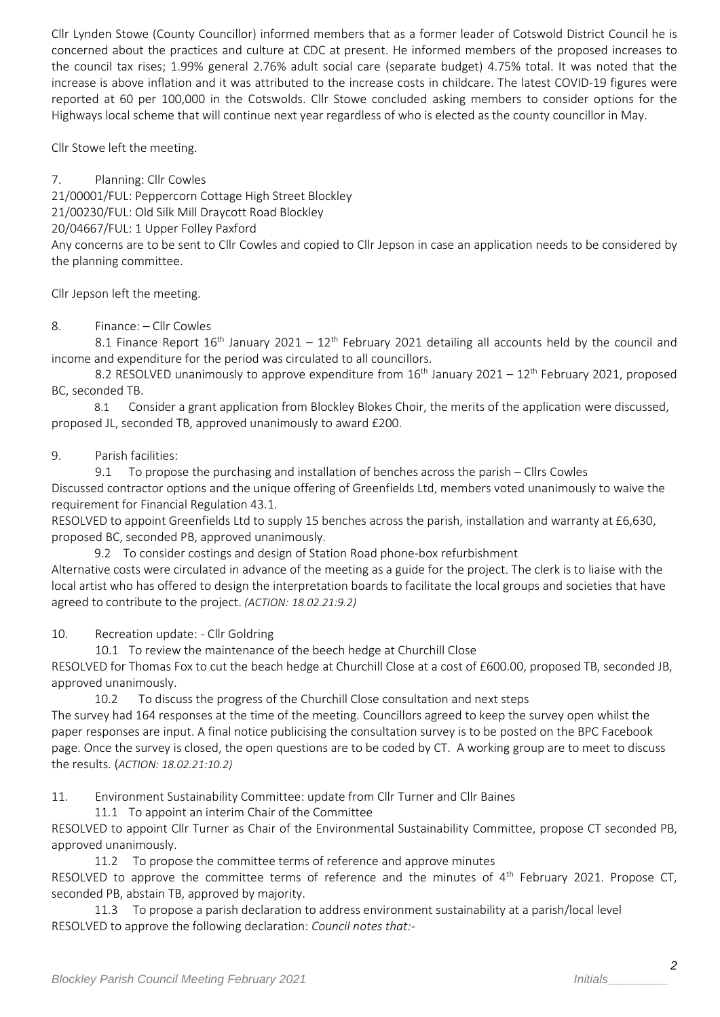Cllr Lynden Stowe (County Councillor) informed members that as a former leader of Cotswold District Council he is concerned about the practices and culture at CDC at present. He informed members of the proposed increases to the council tax rises; 1.99% general 2.76% adult social care (separate budget) 4.75% total. It was noted that the increase is above inflation and it was attributed to the increase costs in childcare. The latest COVID-19 figures were reported at 60 per 100,000 in the Cotswolds. Cllr Stowe concluded asking members to consider options for the Highways local scheme that will continue next year regardless of who is elected as the county councillor in May.

Cllr Stowe left the meeting.

7. Planning: Cllr Cowles 21/00001/FUL: Peppercorn Cottage High Street Blockley 21/00230/FUL: Old Silk Mill Draycott Road Blockley 20/04667/FUL: 1 Upper Folley Paxford Any concerns are to be sent to Cllr Cowles and copied to Cllr Jepson in case an application needs to be considered by the planning committee.

Cllr Jepson left the meeting.

#### 8. Finance: – Cllr Cowles

8.1 Finance Report  $16<sup>th</sup>$  January 2021 –  $12<sup>th</sup>$  February 2021 detailing all accounts held by the council and income and expenditure for the period was circulated to all councillors.

8.2 RESOLVED unanimously to approve expenditure from 16<sup>th</sup> January 2021 – 12<sup>th</sup> February 2021, proposed BC, seconded TB.

8.1 Consider a grant application from Blockley Blokes Choir, the merits of the application were discussed, proposed JL, seconded TB, approved unanimously to award £200.

#### 9. Parish facilities:

9.1 To propose the purchasing and installation of benches across the parish - Cllrs Cowles Discussed contractor options and the unique offering of Greenfields Ltd, members voted unanimously to waive the requirement for Financial Regulation 43.1.

RESOLVED to appoint Greenfields Ltd to supply 15 benches across the parish, installation and warranty at £6,630, proposed BC, seconded PB, approved unanimously.

9.2 To consider costings and design of Station Road phone-box refurbishment

Alternative costs were circulated in advance of the meeting as a guide for the project. The clerk is to liaise with the local artist who has offered to design the interpretation boards to facilitate the local groups and societies that have agreed to contribute to the project. *(ACTION: 18.02.21:9.2)*

10. Recreation update: - Cllr Goldring

10.1 To review the maintenance of the beech hedge at Churchill Close

RESOLVED for Thomas Fox to cut the beach hedge at Churchill Close at a cost of £600.00, proposed TB, seconded JB, approved unanimously.

10.2 To discuss the progress of the Churchill Close consultation and next steps

The survey had 164 responses at the time of the meeting. Councillors agreed to keep the survey open whilst the paper responses are input. A final notice publicising the consultation survey is to be posted on the BPC Facebook page. Once the survey is closed, the open questions are to be coded by CT. A working group are to meet to discuss the results. (*ACTION: 18.02.21:10.2)*

11. Environment Sustainability Committee: update from Cllr Turner and Cllr Baines

11.1 To appoint an interim Chair of the Committee

RESOLVED to appoint Cllr Turner as Chair of the Environmental Sustainability Committee, propose CT seconded PB, approved unanimously.

11.2 To propose the committee terms of reference and approve minutes

RESOLVED to approve the committee terms of reference and the minutes of  $4<sup>th</sup>$  February 2021. Propose CT, seconded PB, abstain TB, approved by majority.

11.3 To propose a parish declaration to address environment sustainability at a parish/local level RESOLVED to approve the following declaration: *Council notes that:-*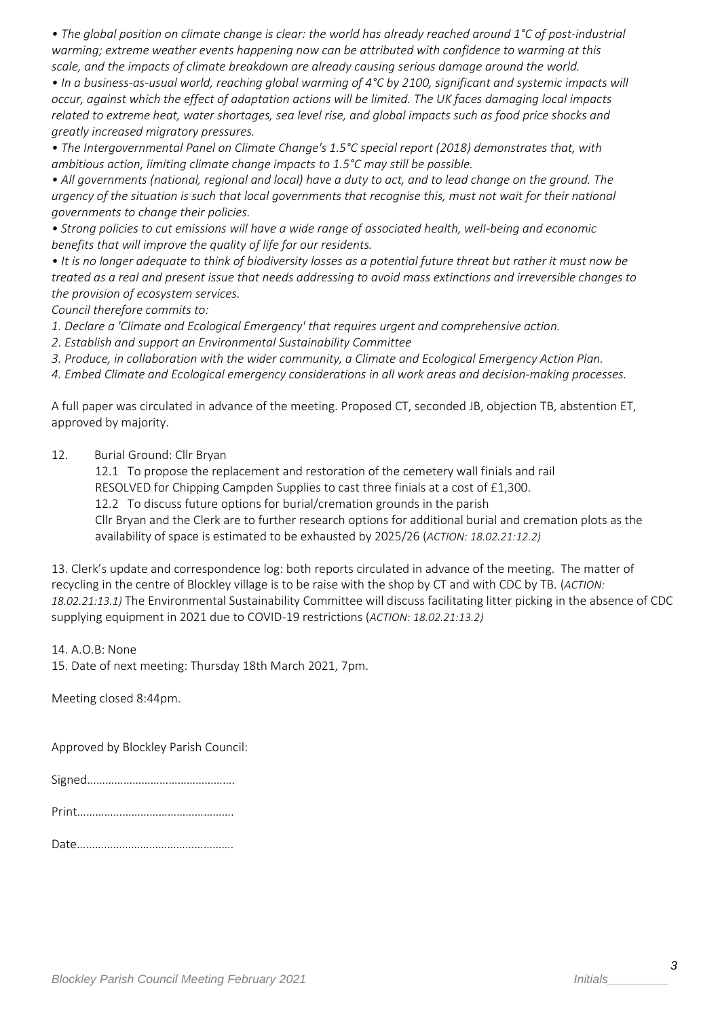*• The global position on climate change is clear: the world has already reached around 1°C of post‐industrial warming; extreme weather events happening now can be attributed with confidence to warming at this scale, and the impacts of climate breakdown are already causing serious damage around the world.*

*• In a business‐as‐usual world, reaching global warming of 4°C by 2100, significant and systemic impacts will occur, against which the effect of adaptation actions will be limited. The UK faces damaging local impacts related to extreme heat, water shortages, sea level rise, and global impacts such as food price shocks and greatly increased migratory pressures.*

*• The Intergovernmental Panel on Climate Change's 1.5°C special report (2018) demonstrates that, with ambitious action, limiting climate change impacts to 1.5°C may still be possible.*

*• All governments (national, regional and local) have a duty to act, and to lead change on the ground. The urgency of the situation is such that local governments that recognise this, must not wait for their national governments to change their policies.*

*• Strong policies to cut emissions will have a wide range of associated health, welI‐being and economic benefits that will improve the quality of life for our residents.*

*• It is no longer adequate to think of biodiversity losses as a potential future threat but rather it must now be treated as a real and present issue that needs addressing to avoid mass extinctions and irreversible changes to the provision of ecosystem services.*

*Council therefore commits to:*

*1. Declare a 'Climate and Ecological Emergency' that requires urgent and comprehensive action.*

*2. Establish and support an Environmental Sustainability Committee*

*3. Produce, in collaboration with the wider community, a Climate and Ecological Emergency Action Plan.*

*4. Embed Climate and Ecological emergency considerations in all work areas and decision‐making processes.*

A full paper was circulated in advance of the meeting. Proposed CT, seconded JB, objection TB, abstention ET, approved by majority.

12. Burial Ground: Cllr Bryan

12.1 To propose the replacement and restoration of the cemetery wall finials and rail

RESOLVED for Chipping Campden Supplies to cast three finials at a cost of £1,300.

12.2 To discuss future options for burial/cremation grounds in the parish

Cllr Bryan and the Clerk are to further research options for additional burial and cremation plots as the availability of space is estimated to be exhausted by 2025/26 (*ACTION: 18.02.21:12.2)*

13. Clerk's update and correspondence log: both reports circulated in advance of the meeting. The matter of recycling in the centre of Blockley village is to be raise with the shop by CT and with CDC by TB. (*ACTION: 18.02.21:13.1)* The Environmental Sustainability Committee will discuss facilitating litter picking in the absence of CDC supplying equipment in 2021 due to COVID-19 restrictions (*ACTION: 18.02.21:13.2)*

14. A.O.B: None

15. Date of next meeting: Thursday 18th March 2021, 7pm.

Meeting closed 8:44pm.

Approved by Blockley Parish Council:

| <b>.</b> |
|----------|
|----------|

|--|--|

Date…………………………………………….